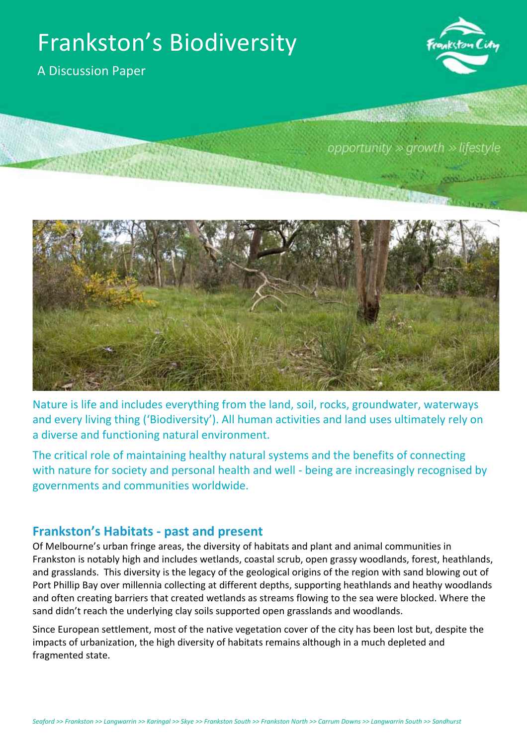# Frankston's Biodiversity

A Discussion Paper



opportunity  $\gg$  growth  $\gg$  lifestyle



Nature is life and includes everything from the land, soil, rocks, groundwater, waterways and every living thing ('Biodiversity'). All human activities and land uses ultimately rely on a diverse and functioning natural environment.

The critical role of maintaining healthy natural systems and the benefits of connecting with nature for society and personal health and well - being are increasingly recognised by governments and communities worldwide.

### **Frankston's Habitats - past and present**

Of Melbourne's urban fringe areas, the diversity of habitats and plant and animal communities in Frankston is notably high and includes wetlands, coastal scrub, open grassy woodlands, forest, heathlands, and grasslands. This diversity is the legacy of the geological origins of the region with sand blowing out of Port Phillip Bay over millennia collecting at different depths, supporting heathlands and heathy woodlands and often creating barriers that created wetlands as streams flowing to the sea were blocked. Where the sand didn't reach the underlying clay soils supported open grasslands and woodlands.

Since European settlement, most of the native vegetation cover of the city has been lost but, despite the impacts of urbanization, the high diversity of habitats remains although in a much depleted and fragmented state.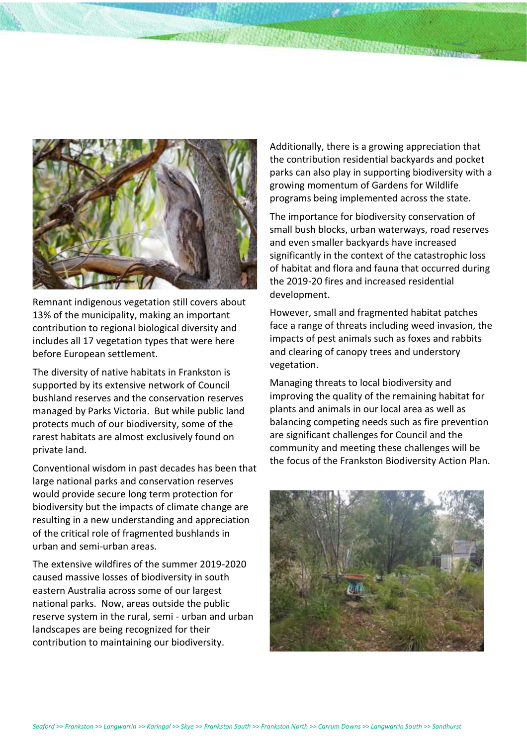

Remnant indigenous vegetation still covers about 13% of the municipality, making an important contribution to regional biological diversity and includes all 17 vegetation types that were here before European settlement.

The diversity of native habitats in Frankston is supported by its extensive network of Council bushland reserves and the conservation reserves managed by Parks Victoria. But while public land protects much of our biodiversity, some of the rarest habitats are almost exclusively found on private land.

Conventional wisdom in past decades has been that large national parks and conservation reserves would provide secure long term protection for biodiversity but the impacts of climate change are resulting in a new understanding and appreciation of the critical role of fragmented bushlands in urban and semi-urban areas.

The extensive wildfires of the summer 2019-2020 caused massive losses of biodiversity in south eastern Australia across some of our largest national parks. Now, areas outside the public reserve system in the rural, semi - urban and urban landscapes are being recognized for their contribution to maintaining our biodiversity.

Additionally, there is a growing appreciation that the contribution residential backyards and pocket parks can also play in supporting biodiversity with a growing momentum of Gardens for Wildlife programs being implemented across the state.

The importance for biodiversity conservation of small bush blocks, urban waterways, road reserves and even smaller backyards have increased significantly in the context of the catastrophic loss of habitat and flora and fauna that occurred during the 2019-20 fires and increased residential development.

However, small and fragmented habitat patches face a range of threats including weed invasion, the impacts of pest animals such as foxes and rabbits and clearing of canopy trees and understory vegetation.

Managing threats to local biodiversity and improving the quality of the remaining habitat for plants and animals in our local area as well as balancing competing needs such as fire prevention are significant challenges for Council and the community and meeting these challenges will be the focus of the Frankston Biodiversity Action Plan.

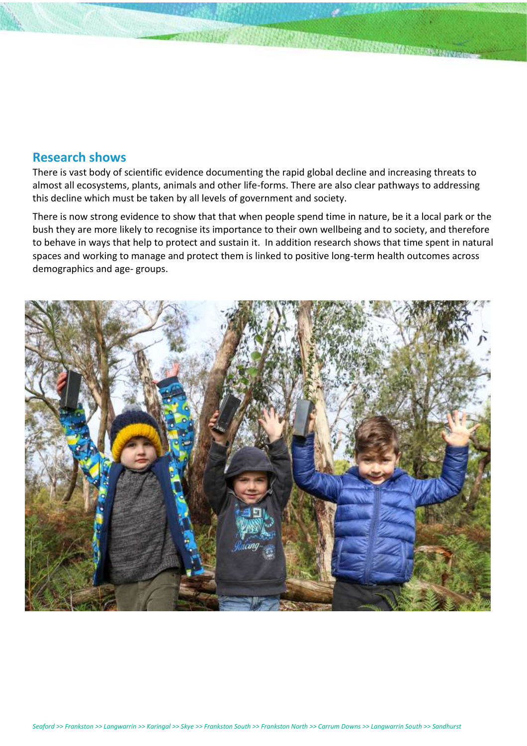#### **Research shows**

There is vast body of scientific evidence documenting the rapid global decline and increasing threats to almost all ecosystems, plants, animals and other life-forms. There are also clear pathways to addressing this decline which must be taken by all levels of government and society.

There is now strong evidence to show that that when people spend time in nature, be it a local park or the bush they are more likely to recognise its importance to their own wellbeing and to society, and therefore to behave in ways that help to protect and sustain it. In addition research shows that time spent in natural spaces and working to manage and protect them is linked to positive long-term health outcomes across demographics and age- groups.